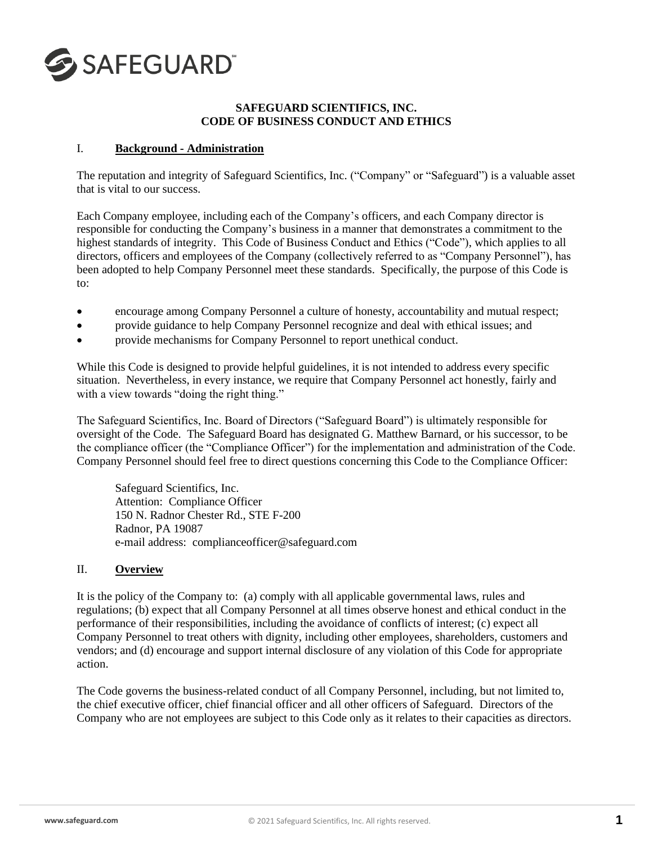

### **SAFEGUARD SCIENTIFICS, INC. CODE OF BUSINESS CONDUCT AND ETHICS**

#### I. **Background - Administration**

The reputation and integrity of Safeguard Scientifics, Inc. ("Company" or "Safeguard") is a valuable asset that is vital to our success.

Each Company employee, including each of the Company's officers, and each Company director is responsible for conducting the Company's business in a manner that demonstrates a commitment to the highest standards of integrity. This Code of Business Conduct and Ethics ("Code"), which applies to all directors, officers and employees of the Company (collectively referred to as "Company Personnel"), has been adopted to help Company Personnel meet these standards. Specifically, the purpose of this Code is to:

- encourage among Company Personnel a culture of honesty, accountability and mutual respect;
- provide guidance to help Company Personnel recognize and deal with ethical issues; and
- provide mechanisms for Company Personnel to report unethical conduct.

While this Code is designed to provide helpful guidelines, it is not intended to address every specific situation. Nevertheless, in every instance, we require that Company Personnel act honestly, fairly and with a view towards "doing the right thing."

The Safeguard Scientifics, Inc. Board of Directors ("Safeguard Board") is ultimately responsible for oversight of the Code. The Safeguard Board has designated G. Matthew Barnard, or his successor, to be the compliance officer (the "Compliance Officer") for the implementation and administration of the Code. Company Personnel should feel free to direct questions concerning this Code to the Compliance Officer:

Safeguard Scientifics, Inc. Attention: Compliance Officer 150 N. Radnor Chester Rd., STE F-200 Radnor, PA 19087 e-mail address: complianceofficer@safeguard.com

### II. **Overview**

It is the policy of the Company to: (a) comply with all applicable governmental laws, rules and regulations; (b) expect that all Company Personnel at all times observe honest and ethical conduct in the performance of their responsibilities, including the avoidance of conflicts of interest; (c) expect all Company Personnel to treat others with dignity, including other employees, shareholders, customers and vendors; and (d) encourage and support internal disclosure of any violation of this Code for appropriate action.

The Code governs the business-related conduct of all Company Personnel, including, but not limited to, the chief executive officer, chief financial officer and all other officers of Safeguard. Directors of the Company who are not employees are subject to this Code only as it relates to their capacities as directors.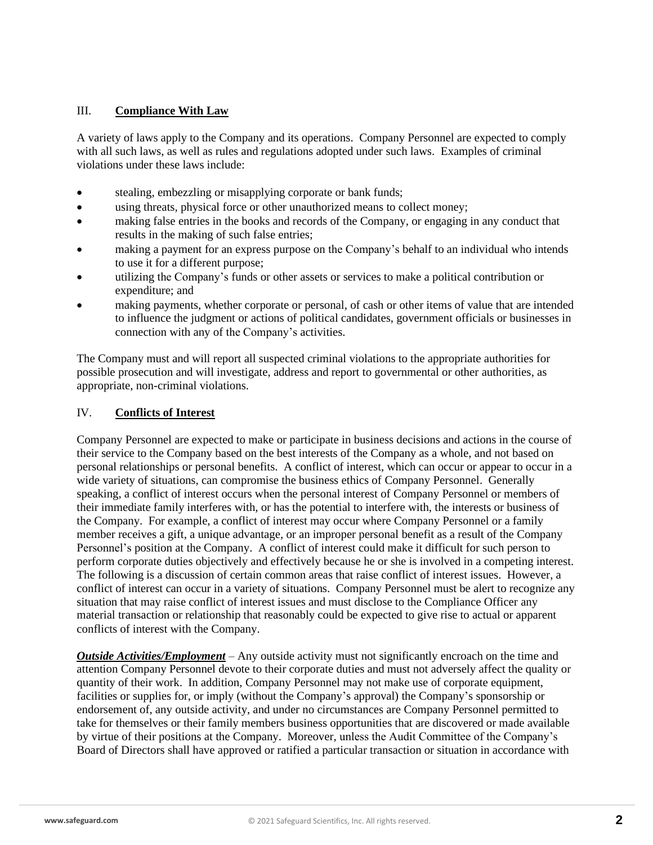## III. **Compliance With Law**

A variety of laws apply to the Company and its operations. Company Personnel are expected to comply with all such laws, as well as rules and regulations adopted under such laws. Examples of criminal violations under these laws include:

- stealing, embezzling or misapplying corporate or bank funds;
- using threats, physical force or other unauthorized means to collect money;
- making false entries in the books and records of the Company, or engaging in any conduct that results in the making of such false entries;
- making a payment for an express purpose on the Company's behalf to an individual who intends to use it for a different purpose;
- utilizing the Company's funds or other assets or services to make a political contribution or expenditure; and
- making payments, whether corporate or personal, of cash or other items of value that are intended to influence the judgment or actions of political candidates, government officials or businesses in connection with any of the Company's activities.

The Company must and will report all suspected criminal violations to the appropriate authorities for possible prosecution and will investigate, address and report to governmental or other authorities, as appropriate, non-criminal violations.

# IV. **Conflicts of Interest**

Company Personnel are expected to make or participate in business decisions and actions in the course of their service to the Company based on the best interests of the Company as a whole, and not based on personal relationships or personal benefits. A conflict of interest, which can occur or appear to occur in a wide variety of situations, can compromise the business ethics of Company Personnel. Generally speaking, a conflict of interest occurs when the personal interest of Company Personnel or members of their immediate family interferes with, or has the potential to interfere with, the interests or business of the Company. For example, a conflict of interest may occur where Company Personnel or a family member receives a gift, a unique advantage, or an improper personal benefit as a result of the Company Personnel's position at the Company. A conflict of interest could make it difficult for such person to perform corporate duties objectively and effectively because he or she is involved in a competing interest. The following is a discussion of certain common areas that raise conflict of interest issues. However, a conflict of interest can occur in a variety of situations. Company Personnel must be alert to recognize any situation that may raise conflict of interest issues and must disclose to the Compliance Officer any material transaction or relationship that reasonably could be expected to give rise to actual or apparent conflicts of interest with the Company.

*Outside Activities/Employment* – Any outside activity must not significantly encroach on the time and attention Company Personnel devote to their corporate duties and must not adversely affect the quality or quantity of their work. In addition, Company Personnel may not make use of corporate equipment, facilities or supplies for, or imply (without the Company's approval) the Company's sponsorship or endorsement of, any outside activity, and under no circumstances are Company Personnel permitted to take for themselves or their family members business opportunities that are discovered or made available by virtue of their positions at the Company. Moreover, unless the Audit Committee of the Company's Board of Directors shall have approved or ratified a particular transaction or situation in accordance with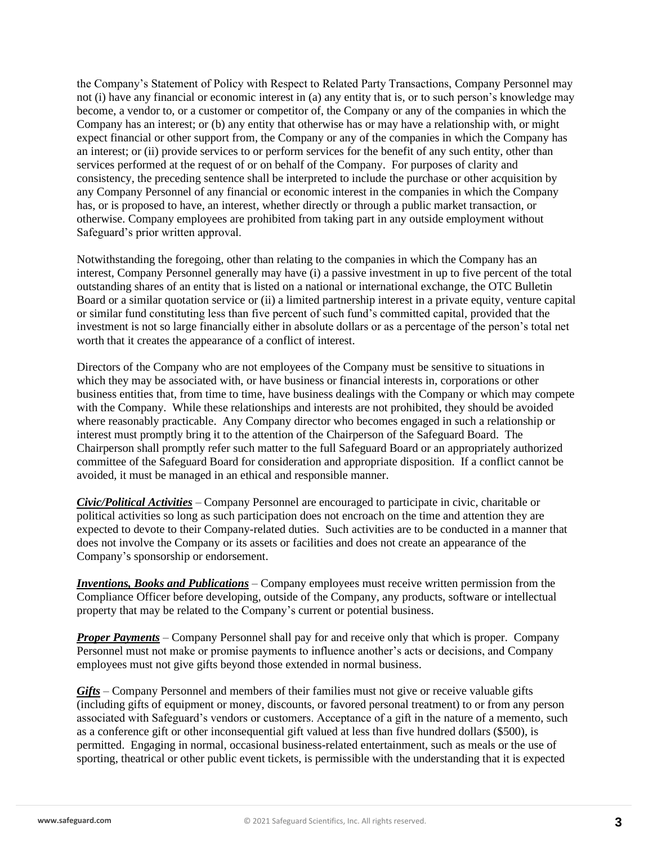the Company's Statement of Policy with Respect to Related Party Transactions, Company Personnel may not (i) have any financial or economic interest in (a) any entity that is, or to such person's knowledge may become, a vendor to, or a customer or competitor of, the Company or any of the companies in which the Company has an interest; or (b) any entity that otherwise has or may have a relationship with, or might expect financial or other support from, the Company or any of the companies in which the Company has an interest; or (ii) provide services to or perform services for the benefit of any such entity, other than services performed at the request of or on behalf of the Company. For purposes of clarity and consistency, the preceding sentence shall be interpreted to include the purchase or other acquisition by any Company Personnel of any financial or economic interest in the companies in which the Company has, or is proposed to have, an interest, whether directly or through a public market transaction, or otherwise. Company employees are prohibited from taking part in any outside employment without Safeguard's prior written approval.

Notwithstanding the foregoing, other than relating to the companies in which the Company has an interest, Company Personnel generally may have (i) a passive investment in up to five percent of the total outstanding shares of an entity that is listed on a national or international exchange, the OTC Bulletin Board or a similar quotation service or (ii) a limited partnership interest in a private equity, venture capital or similar fund constituting less than five percent of such fund's committed capital, provided that the investment is not so large financially either in absolute dollars or as a percentage of the person's total net worth that it creates the appearance of a conflict of interest.

Directors of the Company who are not employees of the Company must be sensitive to situations in which they may be associated with, or have business or financial interests in, corporations or other business entities that, from time to time, have business dealings with the Company or which may compete with the Company. While these relationships and interests are not prohibited, they should be avoided where reasonably practicable. Any Company director who becomes engaged in such a relationship or interest must promptly bring it to the attention of the Chairperson of the Safeguard Board. The Chairperson shall promptly refer such matter to the full Safeguard Board or an appropriately authorized committee of the Safeguard Board for consideration and appropriate disposition. If a conflict cannot be avoided, it must be managed in an ethical and responsible manner.

*Civic/Political Activities* – Company Personnel are encouraged to participate in civic, charitable or political activities so long as such participation does not encroach on the time and attention they are expected to devote to their Company-related duties. Such activities are to be conducted in a manner that does not involve the Company or its assets or facilities and does not create an appearance of the Company's sponsorship or endorsement.

*Inventions, Books and Publications* – Company employees must receive written permission from the Compliance Officer before developing, outside of the Company, any products, software or intellectual property that may be related to the Company's current or potential business.

*Proper Payments* – Company Personnel shall pay for and receive only that which is proper. Company Personnel must not make or promise payments to influence another's acts or decisions, and Company employees must not give gifts beyond those extended in normal business.

*Gifts* – Company Personnel and members of their families must not give or receive valuable gifts (including gifts of equipment or money, discounts, or favored personal treatment) to or from any person associated with Safeguard's vendors or customers. Acceptance of a gift in the nature of a memento, such as a conference gift or other inconsequential gift valued at less than five hundred dollars (\$500), is permitted. Engaging in normal, occasional business-related entertainment, such as meals or the use of sporting, theatrical or other public event tickets, is permissible with the understanding that it is expected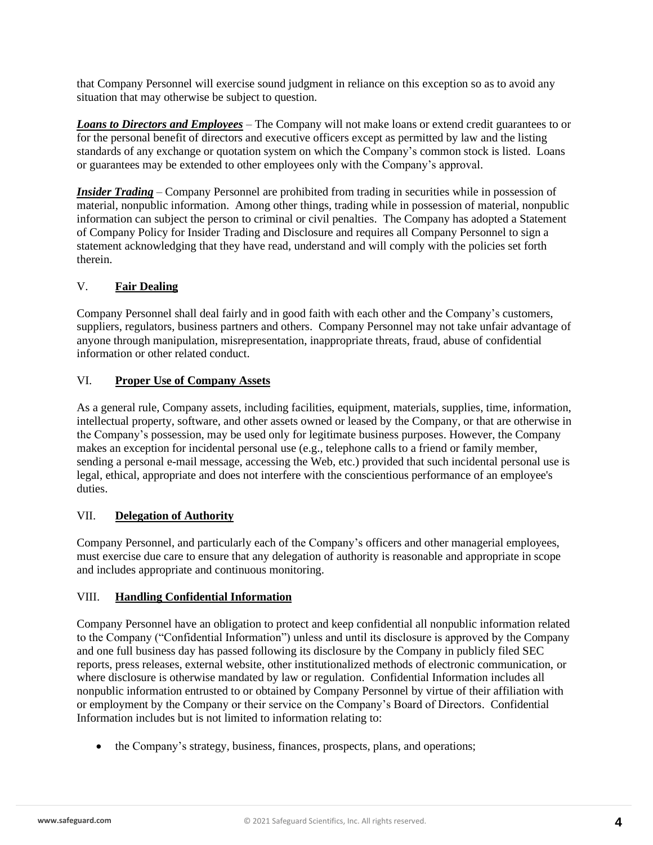that Company Personnel will exercise sound judgment in reliance on this exception so as to avoid any situation that may otherwise be subject to question.

*Loans to Directors and Employees* – The Company will not make loans or extend credit guarantees to or for the personal benefit of directors and executive officers except as permitted by law and the listing standards of any exchange or quotation system on which the Company's common stock is listed. Loans or guarantees may be extended to other employees only with the Company's approval.

*Insider Trading* – Company Personnel are prohibited from trading in securities while in possession of material, nonpublic information. Among other things, trading while in possession of material, nonpublic information can subject the person to criminal or civil penalties. The Company has adopted a Statement of Company Policy for Insider Trading and Disclosure and requires all Company Personnel to sign a statement acknowledging that they have read, understand and will comply with the policies set forth therein.

# V. **Fair Dealing**

Company Personnel shall deal fairly and in good faith with each other and the Company's customers, suppliers, regulators, business partners and others. Company Personnel may not take unfair advantage of anyone through manipulation, misrepresentation, inappropriate threats, fraud, abuse of confidential information or other related conduct.

## VI. **Proper Use of Company Assets**

As a general rule, Company assets, including facilities, equipment, materials, supplies, time, information, intellectual property, software, and other assets owned or leased by the Company, or that are otherwise in the Company's possession, may be used only for legitimate business purposes. However, the Company makes an exception for incidental personal use (e.g., telephone calls to a friend or family member, sending a personal e-mail message, accessing the Web, etc.) provided that such incidental personal use is legal, ethical, appropriate and does not interfere with the conscientious performance of an employee's duties.

### VII. **Delegation of Authority**

Company Personnel, and particularly each of the Company's officers and other managerial employees, must exercise due care to ensure that any delegation of authority is reasonable and appropriate in scope and includes appropriate and continuous monitoring.

### VIII. **Handling Confidential Information**

Company Personnel have an obligation to protect and keep confidential all nonpublic information related to the Company ("Confidential Information") unless and until its disclosure is approved by the Company and one full business day has passed following its disclosure by the Company in publicly filed SEC reports, press releases, external website, other institutionalized methods of electronic communication, or where disclosure is otherwise mandated by law or regulation. Confidential Information includes all nonpublic information entrusted to or obtained by Company Personnel by virtue of their affiliation with or employment by the Company or their service on the Company's Board of Directors. Confidential Information includes but is not limited to information relating to:

• the Company's strategy, business, finances, prospects, plans, and operations;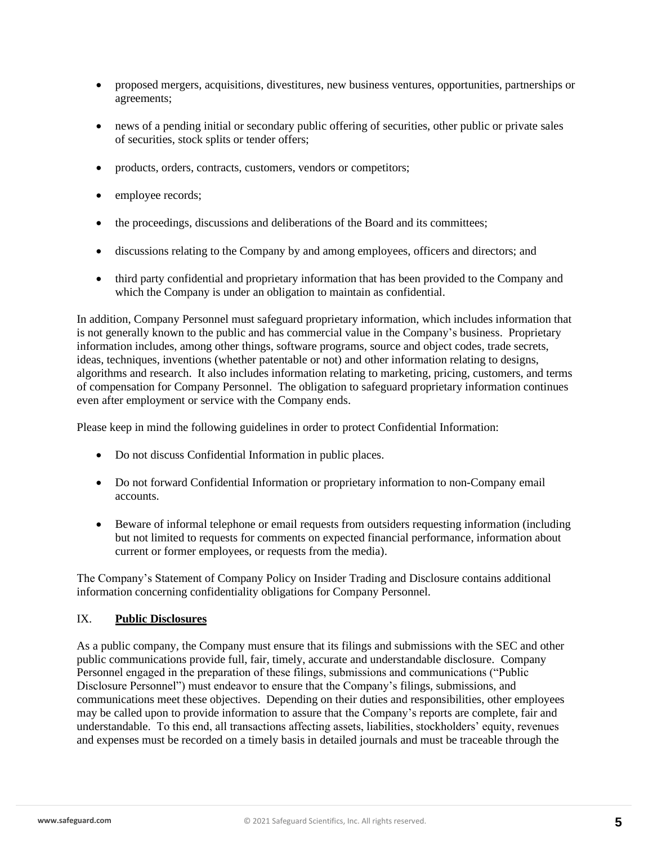- proposed mergers, acquisitions, divestitures, new business ventures, opportunities, partnerships or agreements;
- news of a pending initial or secondary public offering of securities, other public or private sales of securities, stock splits or tender offers;
- products, orders, contracts, customers, vendors or competitors;
- employee records;
- the proceedings, discussions and deliberations of the Board and its committees;
- discussions relating to the Company by and among employees, officers and directors; and
- third party confidential and proprietary information that has been provided to the Company and which the Company is under an obligation to maintain as confidential.

In addition, Company Personnel must safeguard proprietary information, which includes information that is not generally known to the public and has commercial value in the Company's business. Proprietary information includes, among other things, software programs, source and object codes, trade secrets, ideas, techniques, inventions (whether patentable or not) and other information relating to designs, algorithms and research. It also includes information relating to marketing, pricing, customers, and terms of compensation for Company Personnel. The obligation to safeguard proprietary information continues even after employment or service with the Company ends.

Please keep in mind the following guidelines in order to protect Confidential Information:

- Do not discuss Confidential Information in public places.
- Do not forward Confidential Information or proprietary information to non-Company email accounts.
- Beware of informal telephone or email requests from outsiders requesting information (including but not limited to requests for comments on expected financial performance, information about current or former employees, or requests from the media).

The Company's Statement of Company Policy on Insider Trading and Disclosure contains additional information concerning confidentiality obligations for Company Personnel.

### IX. **Public Disclosures**

As a public company, the Company must ensure that its filings and submissions with the SEC and other public communications provide full, fair, timely, accurate and understandable disclosure. Company Personnel engaged in the preparation of these filings, submissions and communications ("Public Disclosure Personnel") must endeavor to ensure that the Company's filings, submissions, and communications meet these objectives. Depending on their duties and responsibilities, other employees may be called upon to provide information to assure that the Company's reports are complete, fair and understandable. To this end, all transactions affecting assets, liabilities, stockholders' equity, revenues and expenses must be recorded on a timely basis in detailed journals and must be traceable through the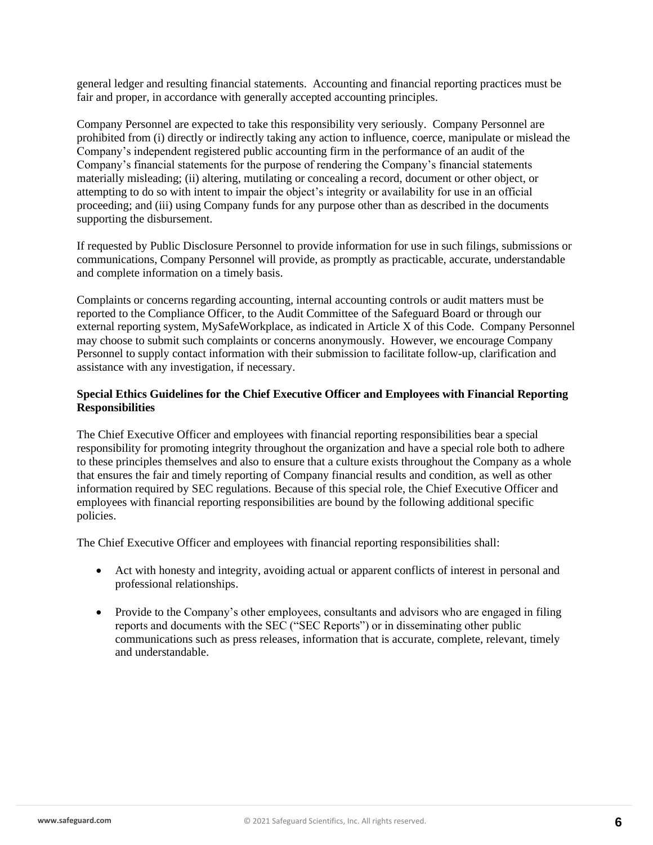general ledger and resulting financial statements. Accounting and financial reporting practices must be fair and proper, in accordance with generally accepted accounting principles.

Company Personnel are expected to take this responsibility very seriously. Company Personnel are prohibited from (i) directly or indirectly taking any action to influence, coerce, manipulate or mislead the Company's independent registered public accounting firm in the performance of an audit of the Company's financial statements for the purpose of rendering the Company's financial statements materially misleading; (ii) altering, mutilating or concealing a record, document or other object, or attempting to do so with intent to impair the object's integrity or availability for use in an official proceeding; and (iii) using Company funds for any purpose other than as described in the documents supporting the disbursement.

If requested by Public Disclosure Personnel to provide information for use in such filings, submissions or communications, Company Personnel will provide, as promptly as practicable, accurate, understandable and complete information on a timely basis.

Complaints or concerns regarding accounting, internal accounting controls or audit matters must be reported to the Compliance Officer, to the Audit Committee of the Safeguard Board or through our external reporting system, MySafeWorkplace, as indicated in Article X of this Code. Company Personnel may choose to submit such complaints or concerns anonymously. However, we encourage Company Personnel to supply contact information with their submission to facilitate follow-up, clarification and assistance with any investigation, if necessary.

### **Special Ethics Guidelines for the Chief Executive Officer and Employees with Financial Reporting Responsibilities**

The Chief Executive Officer and employees with financial reporting responsibilities bear a special responsibility for promoting integrity throughout the organization and have a special role both to adhere to these principles themselves and also to ensure that a culture exists throughout the Company as a whole that ensures the fair and timely reporting of Company financial results and condition, as well as other information required by SEC regulations. Because of this special role, the Chief Executive Officer and employees with financial reporting responsibilities are bound by the following additional specific policies.

The Chief Executive Officer and employees with financial reporting responsibilities shall:

- Act with honesty and integrity, avoiding actual or apparent conflicts of interest in personal and professional relationships.
- Provide to the Company's other employees, consultants and advisors who are engaged in filing reports and documents with the SEC ("SEC Reports") or in disseminating other public communications such as press releases, information that is accurate, complete, relevant, timely and understandable.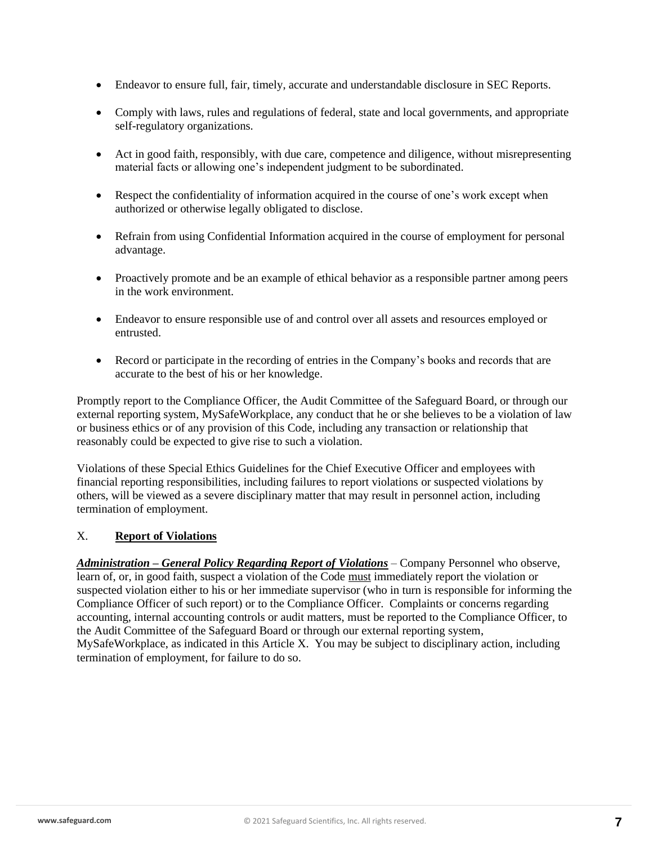- Endeavor to ensure full, fair, timely, accurate and understandable disclosure in SEC Reports.
- Comply with laws, rules and regulations of federal, state and local governments, and appropriate self-regulatory organizations.
- Act in good faith, responsibly, with due care, competence and diligence, without misrepresenting material facts or allowing one's independent judgment to be subordinated.
- Respect the confidentiality of information acquired in the course of one's work except when authorized or otherwise legally obligated to disclose.
- Refrain from using Confidential Information acquired in the course of employment for personal advantage.
- Proactively promote and be an example of ethical behavior as a responsible partner among peers in the work environment.
- Endeavor to ensure responsible use of and control over all assets and resources employed or entrusted.
- Record or participate in the recording of entries in the Company's books and records that are accurate to the best of his or her knowledge.

Promptly report to the Compliance Officer, the Audit Committee of the Safeguard Board, or through our external reporting system, MySafeWorkplace, any conduct that he or she believes to be a violation of law or business ethics or of any provision of this Code, including any transaction or relationship that reasonably could be expected to give rise to such a violation.

Violations of these Special Ethics Guidelines for the Chief Executive Officer and employees with financial reporting responsibilities, including failures to report violations or suspected violations by others, will be viewed as a severe disciplinary matter that may result in personnel action, including termination of employment.

# X. **Report of Violations**

*Administration – General Policy Regarding Report of Violations* – Company Personnel who observe, learn of, or, in good faith, suspect a violation of the Code must immediately report the violation or suspected violation either to his or her immediate supervisor (who in turn is responsible for informing the Compliance Officer of such report) or to the Compliance Officer. Complaints or concerns regarding accounting, internal accounting controls or audit matters, must be reported to the Compliance Officer, to the Audit Committee of the Safeguard Board or through our external reporting system, MySafeWorkplace, as indicated in this Article X. You may be subject to disciplinary action, including termination of employment, for failure to do so.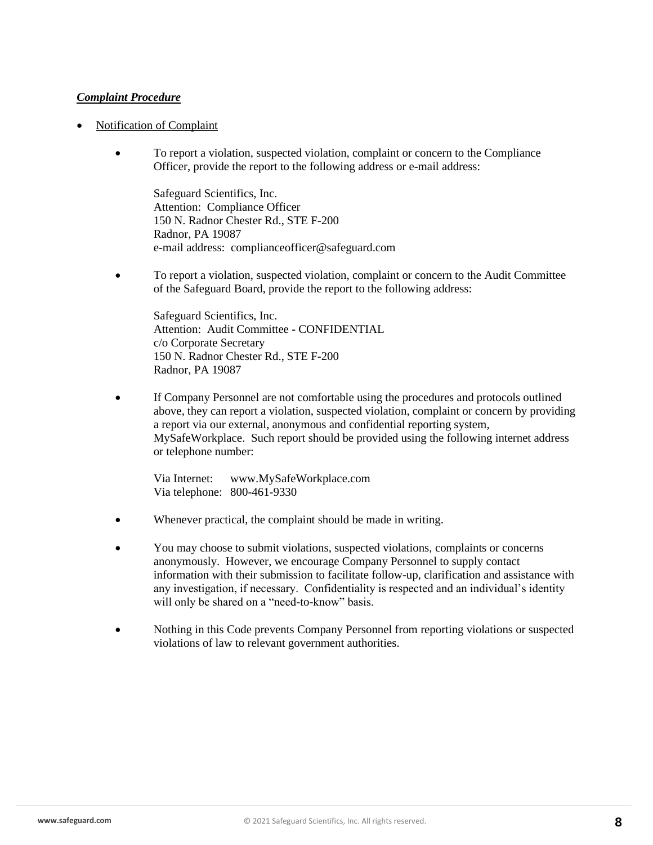## *Complaint Procedure*

- Notification of Complaint
	- To report a violation, suspected violation, complaint or concern to the Compliance Officer, provide the report to the following address or e-mail address:

Safeguard Scientifics, Inc. Attention: Compliance Officer 150 N. Radnor Chester Rd., STE F-200 Radnor, PA 19087 e-mail address: complianceofficer@safeguard.com

• To report a violation, suspected violation, complaint or concern to the Audit Committee of the Safeguard Board, provide the report to the following address:

Safeguard Scientifics, Inc. Attention: Audit Committee - CONFIDENTIAL c/o Corporate Secretary 150 N. Radnor Chester Rd., STE F-200 Radnor, PA 19087

If Company Personnel are not comfortable using the procedures and protocols outlined above, they can report a violation, suspected violation, complaint or concern by providing a report via our external, anonymous and confidential reporting system, MySafeWorkplace. Such report should be provided using the following internet address or telephone number:

Via Internet: [www.MySafeWorkplace.com](http://www.mysafeworkplace.com/) Via telephone: 800-461-9330

- Whenever practical, the complaint should be made in writing.
- You may choose to submit violations, suspected violations, complaints or concerns anonymously. However, we encourage Company Personnel to supply contact information with their submission to facilitate follow-up, clarification and assistance with any investigation, if necessary. Confidentiality is respected and an individual's identity will only be shared on a "need-to-know" basis.
- Nothing in this Code prevents Company Personnel from reporting violations or suspected violations of law to relevant government authorities.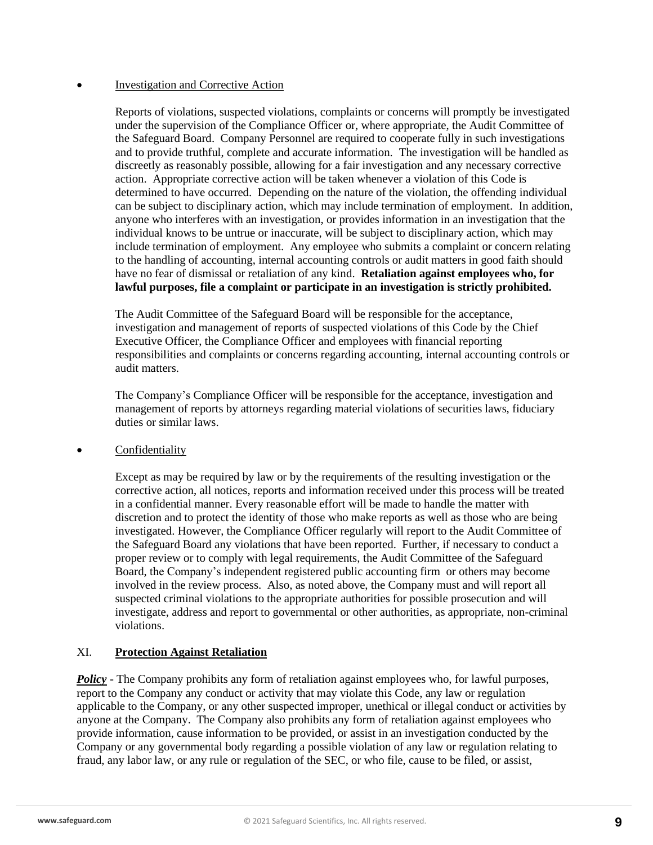### • Investigation and Corrective Action

Reports of violations, suspected violations, complaints or concerns will promptly be investigated under the supervision of the Compliance Officer or, where appropriate, the Audit Committee of the Safeguard Board. Company Personnel are required to cooperate fully in such investigations and to provide truthful, complete and accurate information. The investigation will be handled as discreetly as reasonably possible, allowing for a fair investigation and any necessary corrective action. Appropriate corrective action will be taken whenever a violation of this Code is determined to have occurred. Depending on the nature of the violation, the offending individual can be subject to disciplinary action, which may include termination of employment. In addition, anyone who interferes with an investigation, or provides information in an investigation that the individual knows to be untrue or inaccurate, will be subject to disciplinary action, which may include termination of employment. Any employee who submits a complaint or concern relating to the handling of accounting, internal accounting controls or audit matters in good faith should have no fear of dismissal or retaliation of any kind. **Retaliation against employees who, for lawful purposes, file a complaint or participate in an investigation is strictly prohibited.**

The Audit Committee of the Safeguard Board will be responsible for the acceptance, investigation and management of reports of suspected violations of this Code by the Chief Executive Officer, the Compliance Officer and employees with financial reporting responsibilities and complaints or concerns regarding accounting, internal accounting controls or audit matters.

The Company's Compliance Officer will be responsible for the acceptance, investigation and management of reports by attorneys regarding material violations of securities laws, fiduciary duties or similar laws.

**Confidentiality** 

Except as may be required by law or by the requirements of the resulting investigation or the corrective action, all notices, reports and information received under this process will be treated in a confidential manner. Every reasonable effort will be made to handle the matter with discretion and to protect the identity of those who make reports as well as those who are being investigated. However, the Compliance Officer regularly will report to the Audit Committee of the Safeguard Board any violations that have been reported. Further, if necessary to conduct a proper review or to comply with legal requirements, the Audit Committee of the Safeguard Board, the Company's independent registered public accounting firm or others may become involved in the review process. Also, as noted above, the Company must and will report all suspected criminal violations to the appropriate authorities for possible prosecution and will investigate, address and report to governmental or other authorities, as appropriate, non-criminal violations.

# XI. **Protection Against Retaliation**

*Policy* - The Company prohibits any form of retaliation against employees who, for lawful purposes, report to the Company any conduct or activity that may violate this Code, any law or regulation applicable to the Company, or any other suspected improper, unethical or illegal conduct or activities by anyone at the Company. The Company also prohibits any form of retaliation against employees who provide information, cause information to be provided, or assist in an investigation conducted by the Company or any governmental body regarding a possible violation of any law or regulation relating to fraud, any labor law, or any rule or regulation of the SEC, or who file, cause to be filed, or assist,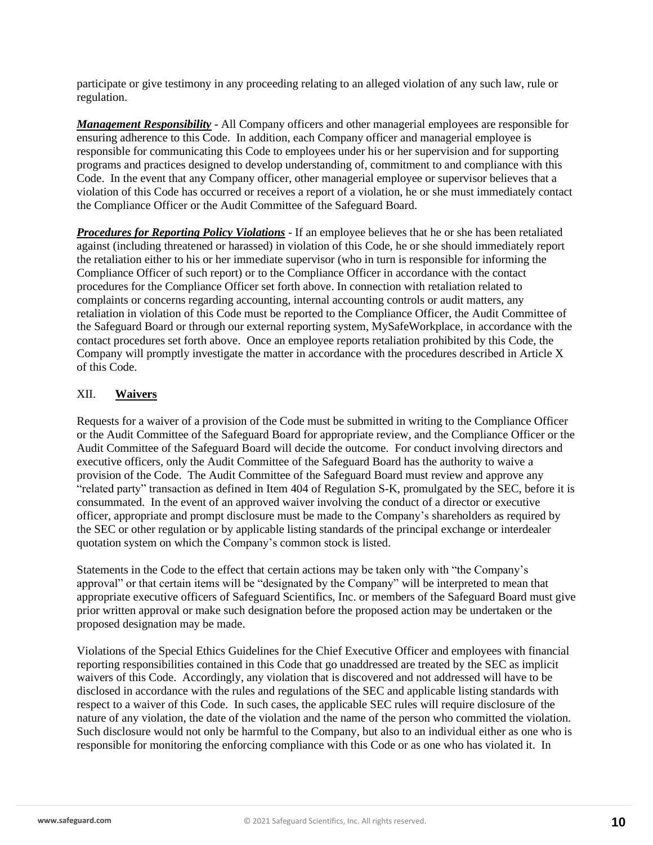participate or give testimony in any proceeding relating to an alleged violation of any such law, rule or regulation.

*Management Responsibility* - All Company officers and other managerial employees are responsible for ensuring adherence to this Code. In addition, each Company officer and managerial employee is responsible for communicating this Code to employees under his or her supervision and for supporting programs and practices designed to develop understanding of, commitment to and compliance with this Code. In the event that any Company officer, other managerial employee or supervisor believes that a violation of this Code has occurred or receives a report of a violation, he or she must immediately contact the Compliance Officer or the Audit Committee of the Safeguard Board.

*Procedures for Reporting Policy Violations* - If an employee believes that he or she has been retaliated against (including threatened or harassed) in violation of this Code, he or she should immediately report the retaliation either to his or her immediate supervisor (who in turn is responsible for informing the Compliance Officer of such report) or to the Compliance Officer in accordance with the contact procedures for the Compliance Officer set forth above. In connection with retaliation related to complaints or concerns regarding accounting, internal accounting controls or audit matters, any retaliation in violation of this Code must be reported to the Compliance Officer, the Audit Committee of the Safeguard Board or through our external reporting system, MySafeWorkplace, in accordance with the contact procedures set forth above. Once an employee reports retaliation prohibited by this Code, the Company will promptly investigate the matter in accordance with the procedures described in Article X of this Code.

## XII. **Waivers**

Requests for a waiver of a provision of the Code must be submitted in writing to the Compliance Officer or the Audit Committee of the Safeguard Board for appropriate review, and the Compliance Officer or the Audit Committee of the Safeguard Board will decide the outcome. For conduct involving directors and executive officers, only the Audit Committee of the Safeguard Board has the authority to waive a provision of the Code. The Audit Committee of the Safeguard Board must review and approve any "related party" transaction as defined in Item 404 of Regulation S-K, promulgated by the SEC, before it is consummated. In the event of an approved waiver involving the conduct of a director or executive officer, appropriate and prompt disclosure must be made to the Company's shareholders as required by the SEC or other regulation or by applicable listing standards of the principal exchange or interdealer quotation system on which the Company's common stock is listed.

Statements in the Code to the effect that certain actions may be taken only with "the Company's approval" or that certain items will be "designated by the Company" will be interpreted to mean that appropriate executive officers of Safeguard Scientifics, Inc. or members of the Safeguard Board must give prior written approval or make such designation before the proposed action may be undertaken or the proposed designation may be made.

Violations of the Special Ethics Guidelines for the Chief Executive Officer and employees with financial reporting responsibilities contained in this Code that go unaddressed are treated by the SEC as implicit waivers of this Code. Accordingly, any violation that is discovered and not addressed will have to be disclosed in accordance with the rules and regulations of the SEC and applicable listing standards with respect to a waiver of this Code. In such cases, the applicable SEC rules will require disclosure of the nature of any violation, the date of the violation and the name of the person who committed the violation. Such disclosure would not only be harmful to the Company, but also to an individual either as one who is responsible for monitoring the enforcing compliance with this Code or as one who has violated it. In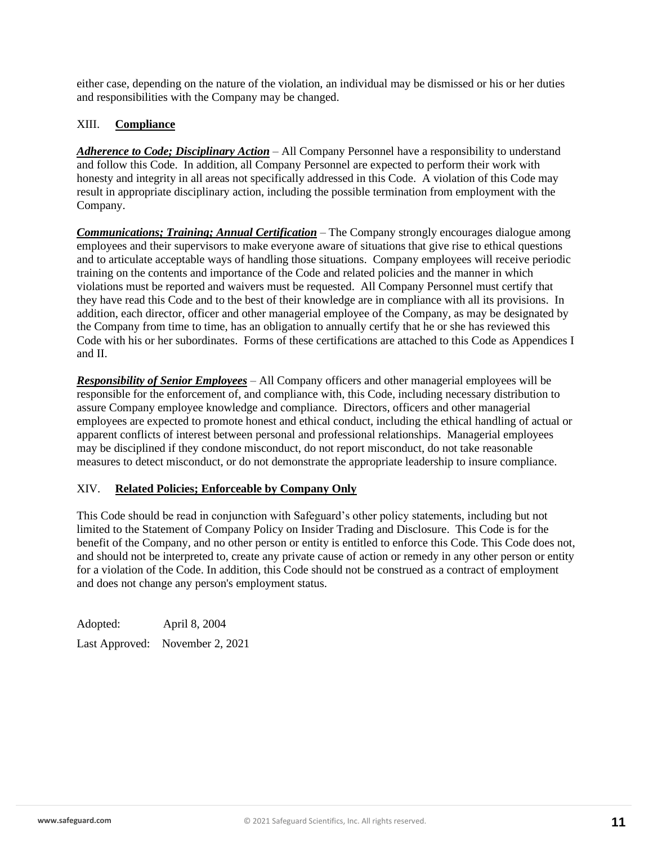either case, depending on the nature of the violation, an individual may be dismissed or his or her duties and responsibilities with the Company may be changed.

### XIII. **Compliance**

*Adherence to Code; Disciplinary Action* – All Company Personnel have a responsibility to understand and follow this Code. In addition, all Company Personnel are expected to perform their work with honesty and integrity in all areas not specifically addressed in this Code. A violation of this Code may result in appropriate disciplinary action, including the possible termination from employment with the Company.

*Communications; Training; Annual Certification* – The Company strongly encourages dialogue among employees and their supervisors to make everyone aware of situations that give rise to ethical questions and to articulate acceptable ways of handling those situations. Company employees will receive periodic training on the contents and importance of the Code and related policies and the manner in which violations must be reported and waivers must be requested. All Company Personnel must certify that they have read this Code and to the best of their knowledge are in compliance with all its provisions. In addition, each director, officer and other managerial employee of the Company, as may be designated by the Company from time to time, has an obligation to annually certify that he or she has reviewed this Code with his or her subordinates. Forms of these certifications are attached to this Code as Appendices I and II.

*Responsibility of Senior Employees* – All Company officers and other managerial employees will be responsible for the enforcement of, and compliance with, this Code, including necessary distribution to assure Company employee knowledge and compliance. Directors, officers and other managerial employees are expected to promote honest and ethical conduct, including the ethical handling of actual or apparent conflicts of interest between personal and professional relationships. Managerial employees may be disciplined if they condone misconduct, do not report misconduct, do not take reasonable measures to detect misconduct, or do not demonstrate the appropriate leadership to insure compliance.

### XIV. **Related Policies; Enforceable by Company Only**

This Code should be read in conjunction with Safeguard's other policy statements, including but not limited to the Statement of Company Policy on Insider Trading and Disclosure. This Code is for the benefit of the Company, and no other person or entity is entitled to enforce this Code. This Code does not, and should not be interpreted to, create any private cause of action or remedy in any other person or entity for a violation of the Code. In addition, this Code should not be construed as a contract of employment and does not change any person's employment status.

Adopted: April 8, 2004 Last Approved: November 2, 2021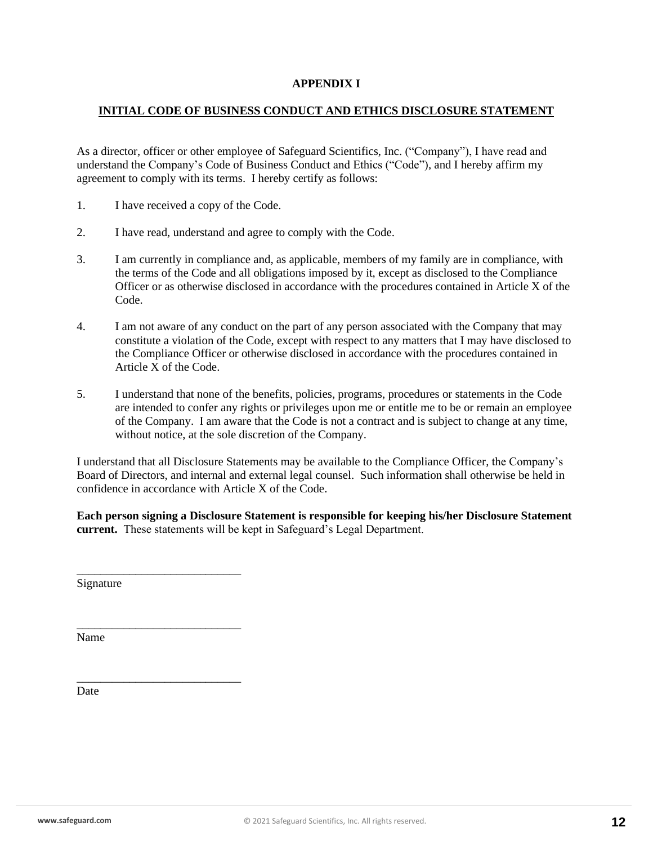### **APPENDIX I**

### **INITIAL CODE OF BUSINESS CONDUCT AND ETHICS DISCLOSURE STATEMENT**

As a director, officer or other employee of Safeguard Scientifics, Inc. ("Company"), I have read and understand the Company's Code of Business Conduct and Ethics ("Code"), and I hereby affirm my agreement to comply with its terms. I hereby certify as follows:

- 1. I have received a copy of the Code.
- 2. I have read, understand and agree to comply with the Code.
- 3. I am currently in compliance and, as applicable, members of my family are in compliance, with the terms of the Code and all obligations imposed by it, except as disclosed to the Compliance Officer or as otherwise disclosed in accordance with the procedures contained in Article X of the Code.
- 4. I am not aware of any conduct on the part of any person associated with the Company that may constitute a violation of the Code, except with respect to any matters that I may have disclosed to the Compliance Officer or otherwise disclosed in accordance with the procedures contained in Article X of the Code.
- 5. I understand that none of the benefits, policies, programs, procedures or statements in the Code are intended to confer any rights or privileges upon me or entitle me to be or remain an employee of the Company. I am aware that the Code is not a contract and is subject to change at any time, without notice, at the sole discretion of the Company.

I understand that all Disclosure Statements may be available to the Compliance Officer, the Company's Board of Directors, and internal and external legal counsel. Such information shall otherwise be held in confidence in accordance with Article X of the Code.

**Each person signing a Disclosure Statement is responsible for keeping his/her Disclosure Statement current.** These statements will be kept in Safeguard's Legal Department.

Signature

\_\_\_\_\_\_\_\_\_\_\_\_\_\_\_\_\_\_\_\_\_\_\_\_\_\_\_\_

\_\_\_\_\_\_\_\_\_\_\_\_\_\_\_\_\_\_\_\_\_\_\_\_\_\_\_\_

\_\_\_\_\_\_\_\_\_\_\_\_\_\_\_\_\_\_\_\_\_\_\_\_\_\_\_\_

Name

Date